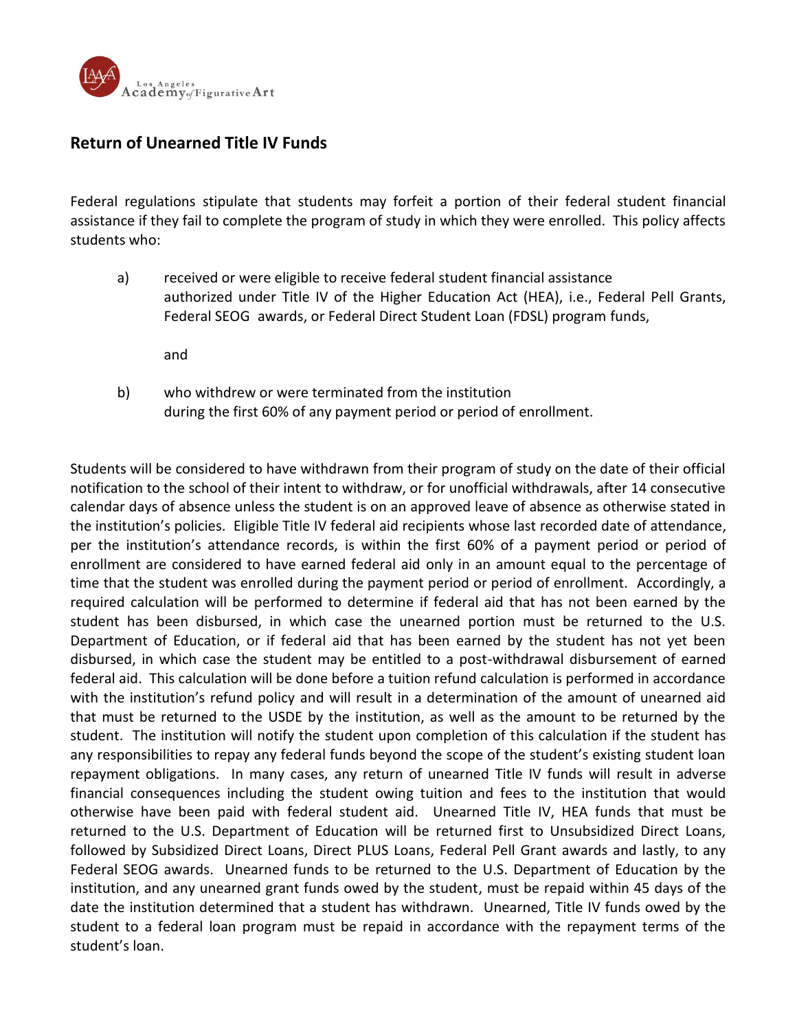

## **Return of Unearned Title IV Funds**

Federal regulations stipulate that students may forfeit a portion of their federal student financial assistance if they fail to complete the program of study in which they were enrolled. This policy affects students who:

a) received or were eligible to receive federal student financial assistance authorized under Title IV of the Higher Education Act (HEA), i.e., Federal Pell Grants, Federal SEOG awards, or Federal Direct Student Loan (FDSL) program funds,

and

b) who withdrew or were terminated from the institution during the first 60% of any payment period or period of enrollment.

Students will be considered to have withdrawn from their program of study on the date of their official notification to the school of their intent to withdraw, or for unofficial withdrawals, after 14 consecutive calendar days of absence unless the student is on an approved leave of absence as otherwise stated in the institution's policies. Eligible Title IV federal aid recipients whose last recorded date of attendance, per the institution's attendance records, is within the first 60% of a payment period or period of enrollment are considered to have earned federal aid only in an amount equal to the percentage of time that the student was enrolled during the payment period or period of enrollment. Accordingly, a required calculation will be performed to determine if federal aid that has not been earned by the student has been disbursed, in which case the unearned portion must be returned to the U.S. Department of Education, or if federal aid that has been earned by the student has not yet been disbursed, in which case the student may be entitled to a post-withdrawal disbursement of earned federal aid. This calculation will be done before a tuition refund calculation is performed in accordance with the institution's refund policy and will result in a determination of the amount of unearned aid that must be returned to the USDE by the institution, as well as the amount to be returned by the student. The institution will notify the student upon completion of this calculation if the student has any responsibilities to repay any federal funds beyond the scope of the student's existing student loan repayment obligations. In many cases, any return of unearned Title IV funds will result in adverse financial consequences including the student owing tuition and fees to the institution that would otherwise have been paid with federal student aid. Unearned Title IV, HEA funds that must be returned to the U.S. Department of Education will be returned first to Unsubsidized Direct Loans, followed by Subsidized Direct Loans, Direct PLUS Loans, Federal Pell Grant awards and lastly, to any Federal SEOG awards. Unearned funds to be returned to the U.S. Department of Education by the institution, and any unearned grant funds owed by the student, must be repaid within 45 days of the date the institution determined that a student has withdrawn. Unearned, Title IV funds owed by the student to a federal loan program must be repaid in accordance with the repayment terms of the student's loan.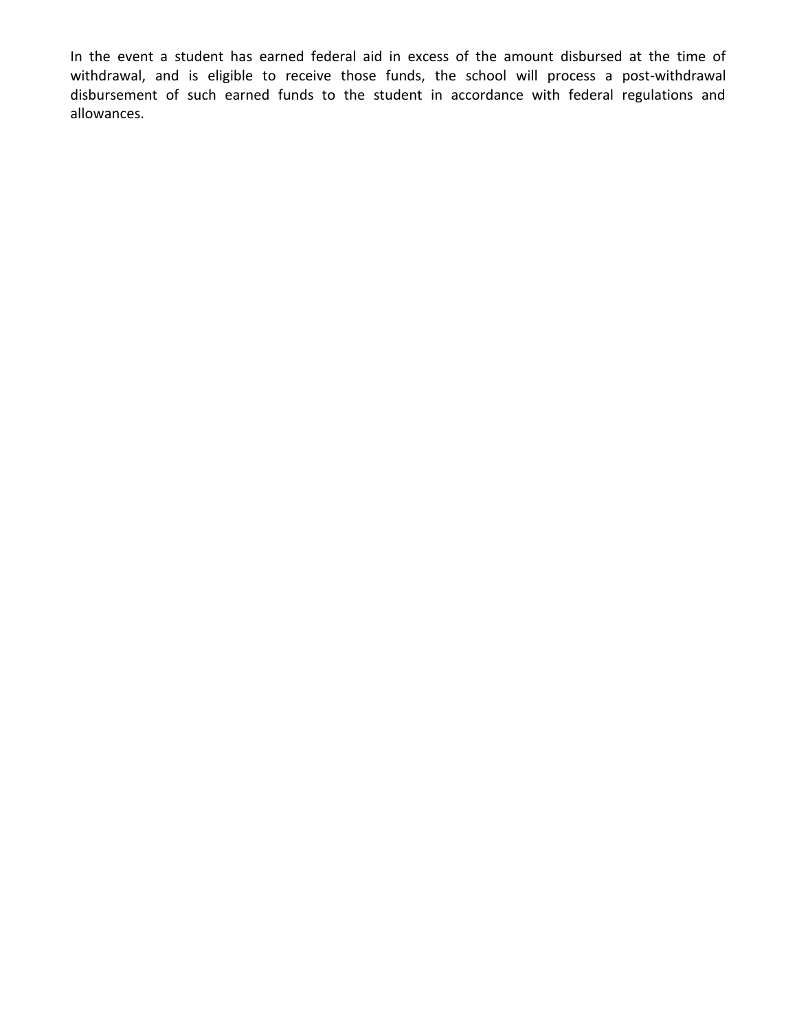In the event a student has earned federal aid in excess of the amount disbursed at the time of withdrawal, and is eligible to receive those funds, the school will process a post-withdrawal disbursement of such earned funds to the student in accordance with federal regulations and allowances.